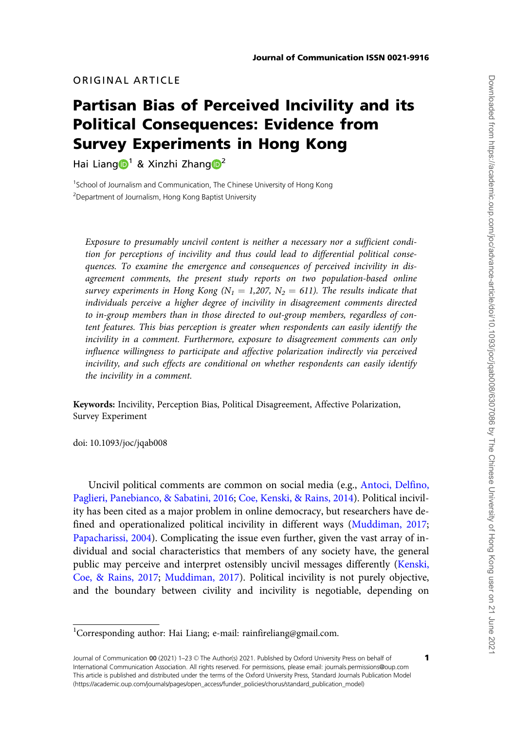# ORIGINAL ARTICLE

# Partisan Bias of Perceived Incivility and its Political Consequences: Evidence from Survey Experiments in Hong Kong

Hai Liang  $\mathbb{D}^1$  $\mathbb{D}^1$  & Xinzhi Zhang  $\mathbb{D}^2$ 

<sup>1</sup>School of Journalism and Communication, The Chinese University of Hong Kong <sup>2</sup> Department of Journalism, Hong Kong Baptist University

Exposure to presumably uncivil content is neither a necessary nor a sufficient condition for perceptions of incivility and thus could lead to differential political consequences. To examine the emergence and consequences of perceived incivility in disagreement comments, the present study reports on two population-based online survey experiments in Hong Kong ( $N_1 = 1,207$ ,  $N_2 = 611$ ). The results indicate that individuals perceive a higher degree of incivility in disagreement comments directed to in-group members than in those directed to out-group members, regardless of content features. This bias perception is greater when respondents can easily identify the incivility in a comment. Furthermore, exposure to disagreement comments can only influence willingness to participate and affective polarization indirectly via perceived incivility, and such effects are conditional on whether respondents can easily identify the incivility in a comment.

Keywords: Incivility, Perception Bias, Political Disagreement, Affective Polarization, Survey Experiment

doi: 10.1093/joc/jqab008

Uncivil political comments are common on social media (e.g., [Antoci, Delfino,](#page-19-0) [Paglieri, Panebianco, & Sabatini, 2016](#page-19-0); [Coe, Kenski,](#page-20-0) & [Rains, 2014\)](#page-20-0). Political incivility has been cited as a major problem in online democracy, but researchers have defined and operationalized political incivility in different ways ([Muddiman, 2017;](#page-21-0) [Papacharissi, 2004](#page-21-0)). Complicating the issue even further, given the vast array of individual and social characteristics that members of any society have, the general public may perceive and interpret ostensibly uncivil messages differently [\(Kenski,](#page-20-0) [Coe, & Rains, 2017](#page-20-0); [Muddiman, 2017](#page-21-0)). Political incivility is not purely objective, and the boundary between civility and incivility is negotiable, depending on

1

<sup>&</sup>lt;sup>1</sup>Corresponding author: Hai Liang; e-mail: rainfireliang@gmail.com.

Journal of Communication 00 (2021) 1-23 © The Author(s) 2021. Published by Oxford University Press on behalf of International Communication Association. All rights reserved. For permissions, please email: journals.permissions@oup.com This article is published and distributed under the terms of the Oxford University Press, Standard Journals Publication Model (https://academic.oup.com/journals/pages/open\_access/funder\_policies/chorus/standard\_publication\_model)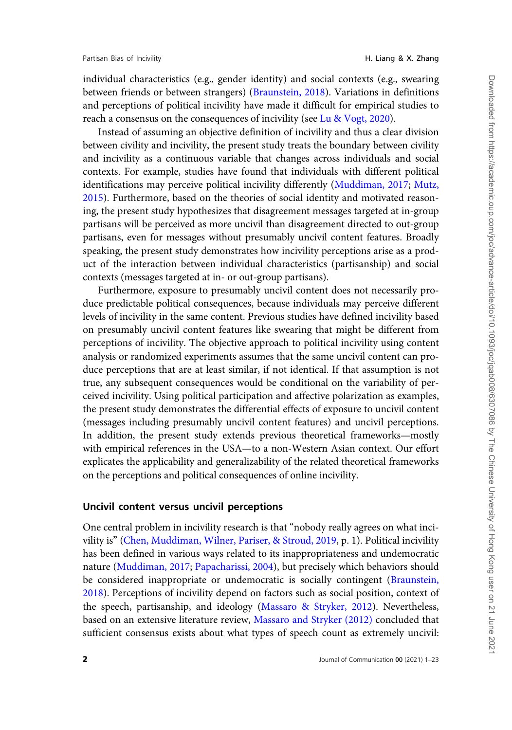individual characteristics (e.g., gender identity) and social contexts (e.g., swearing between friends or between strangers) ([Braunstein, 2018\)](#page-19-0). Variations in definitions and perceptions of political incivility have made it difficult for empirical studies to reach a consensus on the consequences of incivility (see [Lu](#page-21-0) & [Vogt, 2020](#page-21-0)).

Instead of assuming an objective definition of incivility and thus a clear division between civility and incivility, the present study treats the boundary between civility and incivility as a continuous variable that changes across individuals and social contexts. For example, studies have found that individuals with different political identifications may perceive political incivility differently ([Muddiman, 2017;](#page-21-0) [Mutz,](#page-21-0) [2015\)](#page-21-0). Furthermore, based on the theories of social identity and motivated reasoning, the present study hypothesizes that disagreement messages targeted at in-group partisans will be perceived as more uncivil than disagreement directed to out-group partisans, even for messages without presumably uncivil content features. Broadly speaking, the present study demonstrates how incivility perceptions arise as a product of the interaction between individual characteristics (partisanship) and social contexts (messages targeted at in- or out-group partisans).

Furthermore, exposure to presumably uncivil content does not necessarily produce predictable political consequences, because individuals may perceive different levels of incivility in the same content. Previous studies have defined incivility based on presumably uncivil content features like swearing that might be different from perceptions of incivility. The objective approach to political incivility using content analysis or randomized experiments assumes that the same uncivil content can produce perceptions that are at least similar, if not identical. If that assumption is not true, any subsequent consequences would be conditional on the variability of perceived incivility. Using political participation and affective polarization as examples, the present study demonstrates the differential effects of exposure to uncivil content (messages including presumably uncivil content features) and uncivil perceptions. In addition, the present study extends previous theoretical frameworks—mostly with empirical references in the USA—to a non-Western Asian context. Our effort explicates the applicability and generalizability of the related theoretical frameworks on the perceptions and political consequences of online incivility.

# Uncivil content versus uncivil perceptions

One central problem in incivility research is that "nobody really agrees on what incivility is" ([Chen, Muddiman, Wilner, Pariser, & Stroud, 2019,](#page-20-0) p. 1). Political incivility has been defined in various ways related to its inappropriateness and undemocratic nature [\(Muddiman, 2017](#page-21-0); [Papacharissi, 2004](#page-21-0)), but precisely which behaviors should be considered inappropriate or undemocratic is socially contingent [\(Braunstein,](#page-19-0) [2018\)](#page-19-0). Perceptions of incivility depend on factors such as social position, context of the speech, partisanship, and ideology [\(Massaro & Stryker, 2012\)](#page-21-0). Nevertheless, based on an extensive literature review, [Massaro and Stryker \(2012\)](#page-21-0) concluded that sufficient consensus exists about what types of speech count as extremely uncivil: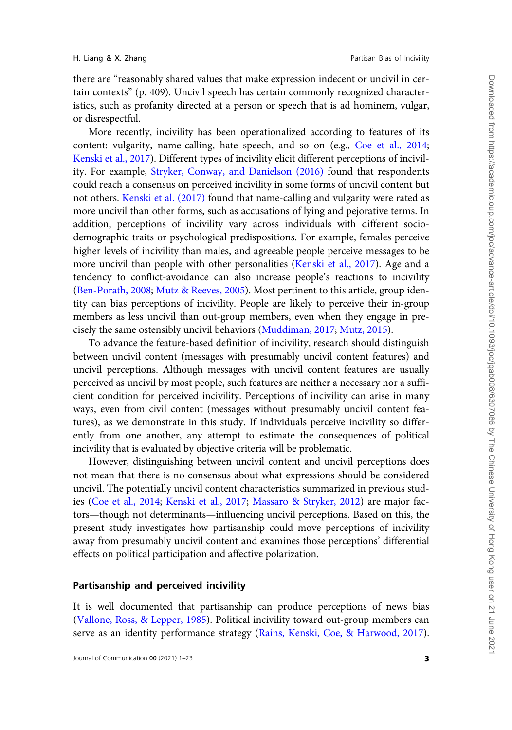there are "reasonably shared values that make expression indecent or uncivil in certain contexts" (p. 409). Uncivil speech has certain commonly recognized characteristics, such as profanity directed at a person or speech that is ad hominem, vulgar, or disrespectful.

More recently, incivility has been operationalized according to features of its content: vulgarity, name-calling, hate speech, and so on (e.g., [Coe et al., 2014](#page-20-0); [Kenski et al., 2017](#page-20-0)). Different types of incivility elicit different perceptions of incivility. For example, [Stryker, Conway, and Danielson \(2016\)](#page-22-0) found that respondents could reach a consensus on perceived incivility in some forms of uncivil content but not others. [Kenski et al. \(2017\)](#page-20-0) found that name-calling and vulgarity were rated as more uncivil than other forms, such as accusations of lying and pejorative terms. In addition, perceptions of incivility vary across individuals with different sociodemographic traits or psychological predispositions. For example, females perceive higher levels of incivility than males, and agreeable people perceive messages to be more uncivil than people with other personalities [\(Kenski et al., 2017\)](#page-20-0). Age and a tendency to conflict-avoidance can also increase people's reactions to incivility ([Ben-Porath, 2008;](#page-19-0) [Mutz](#page-21-0) & [Reeves, 2005\)](#page-21-0). Most pertinent to this article, group identity can bias perceptions of incivility. People are likely to perceive their in-group members as less uncivil than out-group members, even when they engage in precisely the same ostensibly uncivil behaviors [\(Muddiman, 2017](#page-21-0); [Mutz, 2015](#page-21-0)).

To advance the feature-based definition of incivility, research should distinguish between uncivil content (messages with presumably uncivil content features) and uncivil perceptions. Although messages with uncivil content features are usually perceived as uncivil by most people, such features are neither a necessary nor a sufficient condition for perceived incivility. Perceptions of incivility can arise in many ways, even from civil content (messages without presumably uncivil content features), as we demonstrate in this study. If individuals perceive incivility so differently from one another, any attempt to estimate the consequences of political incivility that is evaluated by objective criteria will be problematic.

However, distinguishing between uncivil content and uncivil perceptions does not mean that there is no consensus about what expressions should be considered uncivil. The potentially uncivil content characteristics summarized in previous studies [\(Coe et al., 2014;](#page-20-0) [Kenski et al., 2017](#page-20-0); [Massaro & Stryker, 2012](#page-21-0)) are major factors—though not determinants—influencing uncivil perceptions. Based on this, the present study investigates how partisanship could move perceptions of incivility away from presumably uncivil content and examines those perceptions' differential effects on political participation and affective polarization.

# Partisanship and perceived incivility

It is well documented that partisanship can produce perceptions of news bias ([Vallone, Ross,](#page-22-0) & [Lepper, 1985](#page-22-0)). Political incivility toward out-group members can serve as an identity performance strategy [\(Rains, Kenski, Coe,](#page-21-0) & [Harwood, 2017](#page-21-0)).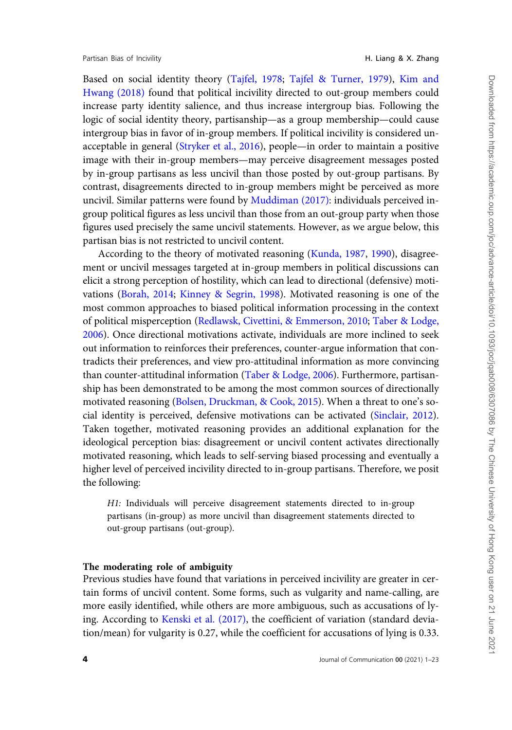Partisan Bias of Incivility **H. Liang & X. Zhang** 

Based on social identity theory [\(Tajfel, 1978](#page-22-0); [Tajfel](#page-22-0) & [Turner, 1979](#page-22-0)), [Kim and](#page-20-0) [Hwang \(2018\)](#page-20-0) found that political incivility directed to out-group members could increase party identity salience, and thus increase intergroup bias. Following the logic of social identity theory, partisanship—as a group membership—could cause intergroup bias in favor of in-group members. If political incivility is considered unacceptable in general ([Stryker et al., 2016](#page-22-0)), people—in order to maintain a positive image with their in-group members—may perceive disagreement messages posted by in-group partisans as less uncivil than those posted by out-group partisans. By contrast, disagreements directed to in-group members might be perceived as more uncivil. Similar patterns were found by [Muddiman \(2017\)](#page-21-0): individuals perceived ingroup political figures as less uncivil than those from an out-group party when those figures used precisely the same uncivil statements. However, as we argue below, this partisan bias is not restricted to uncivil content.

According to the theory of motivated reasoning [\(Kunda, 1987](#page-20-0), [1990\)](#page-20-0), disagreement or uncivil messages targeted at in-group members in political discussions can elicit a strong perception of hostility, which can lead to directional (defensive) motivations [\(Borah, 2014](#page-19-0); [Kinney & Segrin, 1998\)](#page-20-0). Motivated reasoning is one of the most common approaches to biased political information processing in the context of political misperception [\(Redlawsk, Civettini,](#page-21-0) & [Emmerson, 2010](#page-21-0); [Taber & Lodge,](#page-22-0) [2006\)](#page-22-0). Once directional motivations activate, individuals are more inclined to seek out information to reinforces their preferences, counter-argue information that contradicts their preferences, and view pro-attitudinal information as more convincing than counter-attitudinal information [\(Taber](#page-22-0) & [Lodge, 2006\)](#page-22-0). Furthermore, partisanship has been demonstrated to be among the most common sources of directionally motivated reasoning [\(Bolsen, Druckman,](#page-19-0) & [Cook, 2015\)](#page-19-0). When a threat to one's social identity is perceived, defensive motivations can be activated ([Sinclair, 2012\)](#page-21-0). Taken together, motivated reasoning provides an additional explanation for the ideological perception bias: disagreement or uncivil content activates directionally motivated reasoning, which leads to self-serving biased processing and eventually a higher level of perceived incivility directed to in-group partisans. Therefore, we posit the following:

H1: Individuals will perceive disagreement statements directed to in-group partisans (in-group) as more uncivil than disagreement statements directed to out-group partisans (out-group).

## The moderating role of ambiguity

Previous studies have found that variations in perceived incivility are greater in certain forms of uncivil content. Some forms, such as vulgarity and name-calling, are more easily identified, while others are more ambiguous, such as accusations of lying. According to [Kenski et al. \(2017\),](#page-20-0) the coefficient of variation (standard deviation/mean) for vulgarity is 0.27, while the coefficient for accusations of lying is 0.33.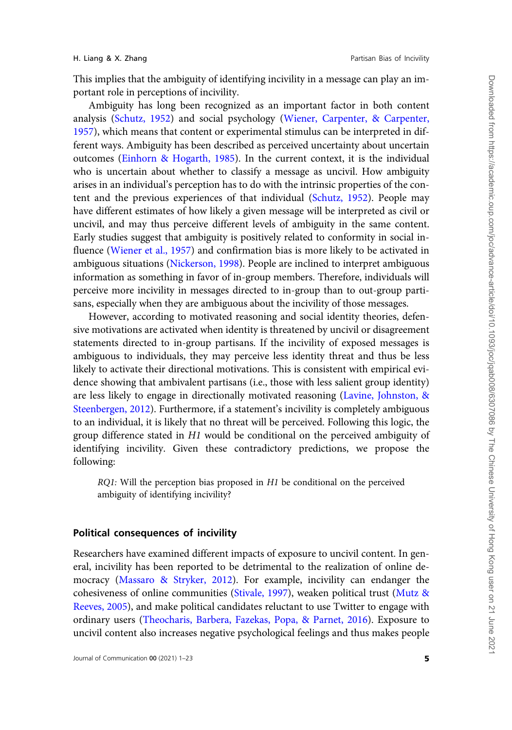This implies that the ambiguity of identifying incivility in a message can play an important role in perceptions of incivility.

Ambiguity has long been recognized as an important factor in both content analysis [\(Schutz, 1952](#page-21-0)) and social psychology ([Wiener, Carpenter, & Carpenter,](#page-22-0) [1957](#page-22-0)), which means that content or experimental stimulus can be interpreted in different ways. Ambiguity has been described as perceived uncertainty about uncertain outcomes ([Einhorn & Hogarth, 1985\)](#page-20-0). In the current context, it is the individual who is uncertain about whether to classify a message as uncivil. How ambiguity arises in an individual's perception has to do with the intrinsic properties of the content and the previous experiences of that individual ([Schutz, 1952\)](#page-21-0). People may have different estimates of how likely a given message will be interpreted as civil or uncivil, and may thus perceive different levels of ambiguity in the same content. Early studies suggest that ambiguity is positively related to conformity in social influence ([Wiener et al., 1957](#page-22-0)) and confirmation bias is more likely to be activated in ambiguous situations ([Nickerson, 1998\)](#page-21-0). People are inclined to interpret ambiguous information as something in favor of in-group members. Therefore, individuals will perceive more incivility in messages directed to in-group than to out-group partisans, especially when they are ambiguous about the incivility of those messages.

However, according to motivated reasoning and social identity theories, defensive motivations are activated when identity is threatened by uncivil or disagreement statements directed to in-group partisans. If the incivility of exposed messages is ambiguous to individuals, they may perceive less identity threat and thus be less likely to activate their directional motivations. This is consistent with empirical evidence showing that ambivalent partisans (i.e., those with less salient group identity) are less likely to engage in directionally motivated reasoning ([Lavine, Johnston, &](#page-20-0) [Steenbergen, 2012](#page-20-0)). Furthermore, if a statement's incivility is completely ambiguous to an individual, it is likely that no threat will be perceived. Following this logic, the group difference stated in H1 would be conditional on the perceived ambiguity of identifying incivility. Given these contradictory predictions, we propose the following:

RQ1: Will the perception bias proposed in H1 be conditional on the perceived ambiguity of identifying incivility?

# Political consequences of incivility

Researchers have examined different impacts of exposure to uncivil content. In general, incivility has been reported to be detrimental to the realization of online democracy [\(Massaro](#page-21-0) [& Stryker, 2012](#page-21-0)). For example, incivility can endanger the cohesiveness of online communities ([Stivale, 1997\)](#page-21-0), weaken political trust [\(Mutz &](#page-21-0) [Reeves, 2005\)](#page-21-0), and make political candidates reluctant to use Twitter to engage with ordinary users ([Theocharis, Barbera, Fazekas, Popa, & Parnet, 2016\)](#page-22-0). Exposure to uncivil content also increases negative psychological feelings and thus makes people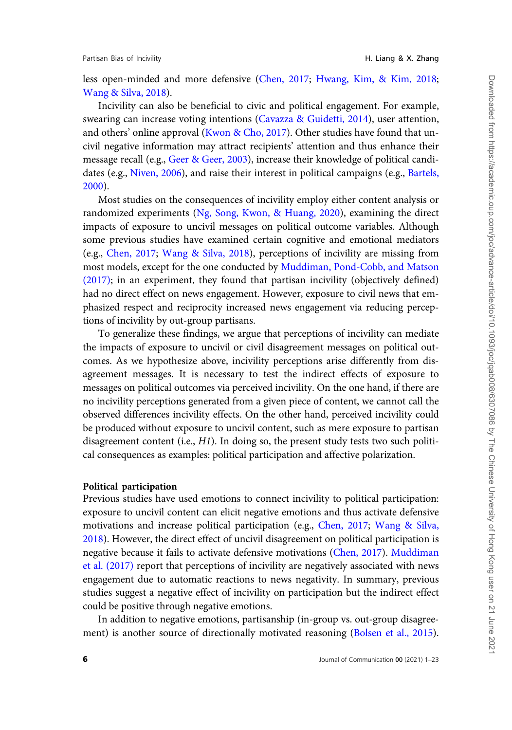less open-minded and more defensive [\(Chen, 2017;](#page-19-0) [Hwang, Kim,](#page-20-0) & [Kim, 2018;](#page-20-0) [Wang](#page-22-0) & [Silva, 2018\)](#page-22-0).

Incivility can also be beneficial to civic and political engagement. For example, swearing can increase voting intentions [\(Cavazza](#page-19-0) & [Guidetti, 2014](#page-19-0)), user attention, and others' online approval [\(Kwon & Cho, 2017\)](#page-20-0). Other studies have found that uncivil negative information may attract recipients' attention and thus enhance their message recall (e.g., [Geer & Geer, 2003](#page-20-0)), increase their knowledge of political candidates (e.g., [Niven, 2006\)](#page-21-0), and raise their interest in political campaigns (e.g., [Bartels,](#page-19-0) [2000\)](#page-19-0).

Most studies on the consequences of incivility employ either content analysis or randomized experiments ([Ng, Song, Kwon, & Huang, 2020](#page-21-0)), examining the direct impacts of exposure to uncivil messages on political outcome variables. Although some previous studies have examined certain cognitive and emotional mediators (e.g., [Chen, 2017;](#page-19-0) [Wang & Silva, 2018\)](#page-22-0), perceptions of incivility are missing from most models, except for the one conducted by [Muddiman, Pond-Cobb, and Matson](#page-21-0) [\(2017\);](#page-21-0) in an experiment, they found that partisan incivility (objectively defined) had no direct effect on news engagement. However, exposure to civil news that emphasized respect and reciprocity increased news engagement via reducing perceptions of incivility by out-group partisans.

To generalize these findings, we argue that perceptions of incivility can mediate the impacts of exposure to uncivil or civil disagreement messages on political outcomes. As we hypothesize above, incivility perceptions arise differently from disagreement messages. It is necessary to test the indirect effects of exposure to messages on political outcomes via perceived incivility. On the one hand, if there are no incivility perceptions generated from a given piece of content, we cannot call the observed differences incivility effects. On the other hand, perceived incivility could be produced without exposure to uncivil content, such as mere exposure to partisan disagreement content (i.e.,  $H1$ ). In doing so, the present study tests two such political consequences as examples: political participation and affective polarization.

## Political participation

Previous studies have used emotions to connect incivility to political participation: exposure to uncivil content can elicit negative emotions and thus activate defensive motivations and increase political participation (e.g., [Chen, 2017;](#page-19-0) [Wang](#page-22-0) & [Silva,](#page-22-0) [2018\)](#page-22-0). However, the direct effect of uncivil disagreement on political participation is negative because it fails to activate defensive motivations ([Chen, 2017\)](#page-19-0). [Muddiman](#page-21-0) [et al. \(2017\)](#page-21-0) report that perceptions of incivility are negatively associated with news engagement due to automatic reactions to news negativity. In summary, previous studies suggest a negative effect of incivility on participation but the indirect effect could be positive through negative emotions.

In addition to negative emotions, partisanship (in-group vs. out-group disagreement) is another source of directionally motivated reasoning ([Bolsen et al., 2015\)](#page-19-0).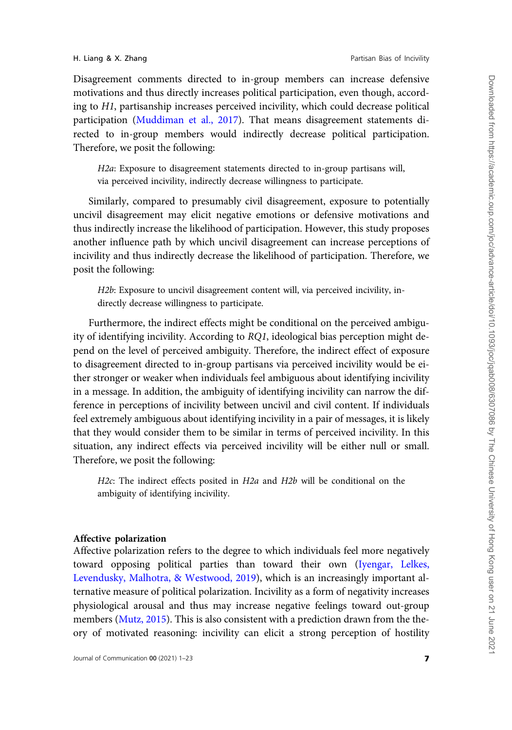Disagreement comments directed to in-group members can increase defensive motivations and thus directly increases political participation, even though, according to H1, partisanship increases perceived incivility, which could decrease political participation [\(Muddiman et al., 2017\)](#page-21-0). That means disagreement statements directed to in-group members would indirectly decrease political participation. Therefore, we posit the following:

H2a: Exposure to disagreement statements directed to in-group partisans will, via perceived incivility, indirectly decrease willingness to participate.

Similarly, compared to presumably civil disagreement, exposure to potentially uncivil disagreement may elicit negative emotions or defensive motivations and thus indirectly increase the likelihood of participation. However, this study proposes another influence path by which uncivil disagreement can increase perceptions of incivility and thus indirectly decrease the likelihood of participation. Therefore, we posit the following:

H2b: Exposure to uncivil disagreement content will, via perceived incivility, indirectly decrease willingness to participate.

Furthermore, the indirect effects might be conditional on the perceived ambiguity of identifying incivility. According to RQ1, ideological bias perception might depend on the level of perceived ambiguity. Therefore, the indirect effect of exposure to disagreement directed to in-group partisans via perceived incivility would be either stronger or weaker when individuals feel ambiguous about identifying incivility in a message. In addition, the ambiguity of identifying incivility can narrow the difference in perceptions of incivility between uncivil and civil content. If individuals feel extremely ambiguous about identifying incivility in a pair of messages, it is likely that they would consider them to be similar in terms of perceived incivility. In this situation, any indirect effects via perceived incivility will be either null or small. Therefore, we posit the following:

H2c: The indirect effects posited in H2a and H2b will be conditional on the ambiguity of identifying incivility.

## Affective polarization

Affective polarization refers to the degree to which individuals feel more negatively toward opposing political parties than toward their own ([Iyengar, Lelkes,](#page-20-0) [Levendusky, Malhotra, & Westwood, 2019\)](#page-20-0), which is an increasingly important alternative measure of political polarization. Incivility as a form of negativity increases physiological arousal and thus may increase negative feelings toward out-group members ([Mutz, 2015\)](#page-21-0). This is also consistent with a prediction drawn from the theory of motivated reasoning: incivility can elicit a strong perception of hostility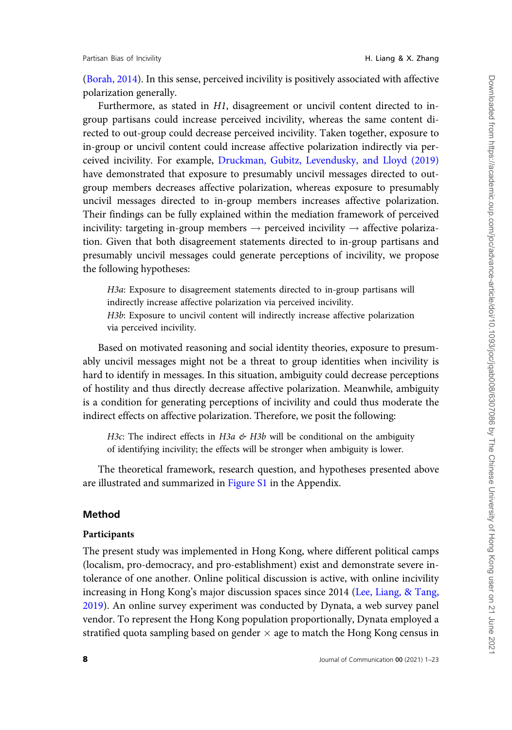[\(Borah, 2014](#page-19-0)). In this sense, perceived incivility is positively associated with affective polarization generally.

Furthermore, as stated in H1, disagreement or uncivil content directed to ingroup partisans could increase perceived incivility, whereas the same content directed to out-group could decrease perceived incivility. Taken together, exposure to in-group or uncivil content could increase affective polarization indirectly via perceived incivility. For example, [Druckman, Gubitz, Levendusky, and Lloyd \(2019\)](#page-20-0) have demonstrated that exposure to presumably uncivil messages directed to outgroup members decreases affective polarization, whereas exposure to presumably uncivil messages directed to in-group members increases affective polarization. Their findings can be fully explained within the mediation framework of perceived incivility: targeting in-group members  $\rightarrow$  perceived incivility  $\rightarrow$  affective polarization. Given that both disagreement statements directed to in-group partisans and presumably uncivil messages could generate perceptions of incivility, we propose the following hypotheses:

H3a: Exposure to disagreement statements directed to in-group partisans will indirectly increase affective polarization via perceived incivility. H3b: Exposure to uncivil content will indirectly increase affective polarization via perceived incivility.

Based on motivated reasoning and social identity theories, exposure to presumably uncivil messages might not be a threat to group identities when incivility is hard to identify in messages. In this situation, ambiguity could decrease perceptions of hostility and thus directly decrease affective polarization. Meanwhile, ambiguity is a condition for generating perceptions of incivility and could thus moderate the indirect effects on affective polarization. Therefore, we posit the following:

H3c: The indirect effects in H3a  $\mathcal{L}$  H3b will be conditional on the ambiguity of identifying incivility; the effects will be stronger when ambiguity is lower.

The theoretical framework, research question, and hypotheses presented above are illustrated and summarized in [Figure S1](
article-lookup/doi/10.1093/joc/jqab008#supplementary-data) in the Appendix.

## Method

#### Participants

The present study was implemented in Hong Kong, where different political camps (localism, pro-democracy, and pro-establishment) exist and demonstrate severe intolerance of one another. Online political discussion is active, with online incivility increasing in Hong Kong's major discussion spaces since 2014 ([Lee, Liang, & Tang,](#page-20-0) [2019\)](#page-20-0). An online survey experiment was conducted by Dynata, a web survey panel vendor. To represent the Hong Kong population proportionally, Dynata employed a stratified quota sampling based on gender  $\times$  age to match the Hong Kong census in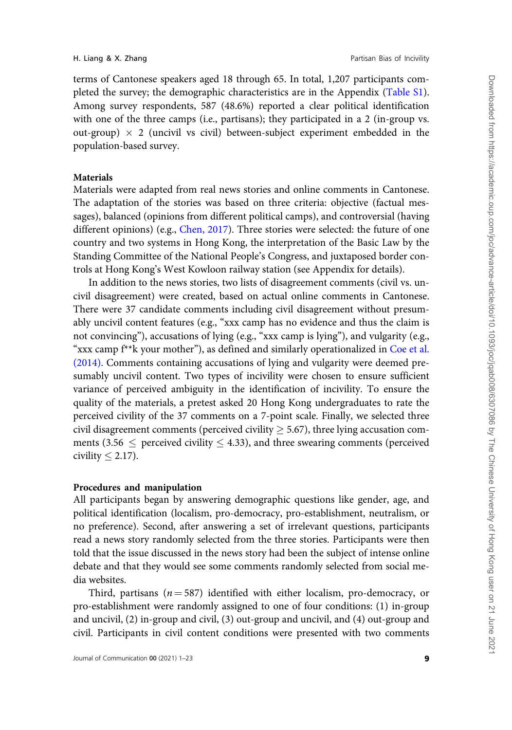terms of Cantonese speakers aged 18 through 65. In total, 1,207 participants com-pleted the survey; the demographic characteristics are in the Appendix ([Table S1](
article-lookup/doi/10.1093/joc/jqab008#supplementary-data)). Among survey respondents, 587 (48.6%) reported a clear political identification with one of the three camps (i.e., partisans); they participated in a 2 (in-group vs. out-group)  $\times$  2 (uncivil vs civil) between-subject experiment embedded in the population-based survey.

#### **Materials**

Materials were adapted from real news stories and online comments in Cantonese. The adaptation of the stories was based on three criteria: objective (factual messages), balanced (opinions from different political camps), and controversial (having different opinions) (e.g., [Chen, 2017\)](#page-19-0). Three stories were selected: the future of one country and two systems in Hong Kong, the interpretation of the Basic Law by the Standing Committee of the National People's Congress, and juxtaposed border controls at Hong Kong's West Kowloon railway station (see Appendix for details).

In addition to the news stories, two lists of disagreement comments (civil vs. uncivil disagreement) were created, based on actual online comments in Cantonese. There were 37 candidate comments including civil disagreement without presumably uncivil content features (e.g., "xxx camp has no evidence and thus the claim is not convincing"), accusations of lying (e.g., "xxx camp is lying"), and vulgarity (e.g., "xxx camp  $f^*$ k your mother"), as defined and similarly operationalized in [Coe et al.](#page-20-0) [\(2014\)](#page-20-0). Comments containing accusations of lying and vulgarity were deemed presumably uncivil content. Two types of incivility were chosen to ensure sufficient variance of perceived ambiguity in the identification of incivility. To ensure the quality of the materials, a pretest asked 20 Hong Kong undergraduates to rate the perceived civility of the 37 comments on a 7-point scale. Finally, we selected three civil disagreement comments (perceived civility  $\geq$  5.67), three lying accusation comments (3.56  $\leq$  perceived civility  $\leq$  4.33), and three swearing comments (perceived civility  $\leq$  2.17).

#### Procedures and manipulation

All participants began by answering demographic questions like gender, age, and political identification (localism, pro-democracy, pro-establishment, neutralism, or no preference). Second, after answering a set of irrelevant questions, participants read a news story randomly selected from the three stories. Participants were then told that the issue discussed in the news story had been the subject of intense online debate and that they would see some comments randomly selected from social media websites.

Third, partisans ( $n = 587$ ) identified with either localism, pro-democracy, or pro-establishment were randomly assigned to one of four conditions: (1) in-group and uncivil, (2) in-group and civil, (3) out-group and uncivil, and (4) out-group and civil. Participants in civil content conditions were presented with two comments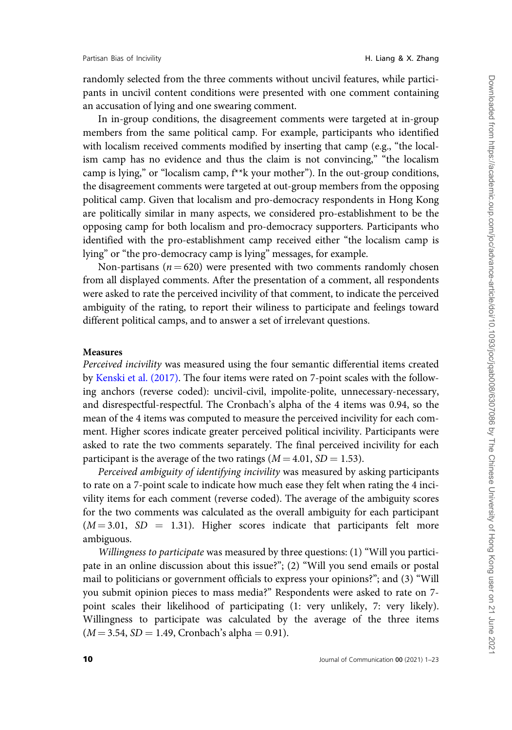randomly selected from the three comments without uncivil features, while participants in uncivil content conditions were presented with one comment containing an accusation of lying and one swearing comment.

In in-group conditions, the disagreement comments were targeted at in-group members from the same political camp. For example, participants who identified with localism received comments modified by inserting that camp (e.g., "the localism camp has no evidence and thus the claim is not convincing," "the localism camp is lying," or "localism camp, f\*\*k your mother"). In the out-group conditions, the disagreement comments were targeted at out-group members from the opposing political camp. Given that localism and pro-democracy respondents in Hong Kong are politically similar in many aspects, we considered pro-establishment to be the opposing camp for both localism and pro-democracy supporters. Participants who identified with the pro-establishment camp received either "the localism camp is lying" or "the pro-democracy camp is lying" messages, for example.

Non-partisans ( $n = 620$ ) were presented with two comments randomly chosen from all displayed comments. After the presentation of a comment, all respondents were asked to rate the perceived incivility of that comment, to indicate the perceived ambiguity of the rating, to report their wiliness to participate and feelings toward different political camps, and to answer a set of irrelevant questions.

## Measures

Perceived incivility was measured using the four semantic differential items created by [Kenski et al. \(2017\).](#page-20-0) The four items were rated on 7-point scales with the following anchors (reverse coded): uncivil-civil, impolite-polite, unnecessary-necessary, and disrespectful-respectful. The Cronbach's alpha of the 4 items was 0.94, so the mean of the 4 items was computed to measure the perceived incivility for each comment. Higher scores indicate greater perceived political incivility. Participants were asked to rate the two comments separately. The final perceived incivility for each participant is the average of the two ratings  $(M = 4.01, SD = 1.53)$ .

Perceived ambiguity of identifying incivility was measured by asking participants to rate on a 7-point scale to indicate how much ease they felt when rating the 4 incivility items for each comment (reverse coded). The average of the ambiguity scores for the two comments was calculated as the overall ambiguity for each participant  $(M = 3.01, SD = 1.31)$ . Higher scores indicate that participants felt more ambiguous.

Willingness to participate was measured by three questions: (1) "Will you participate in an online discussion about this issue?"; (2) "Will you send emails or postal mail to politicians or government officials to express your opinions?"; and (3) "Will you submit opinion pieces to mass media?" Respondents were asked to rate on 7 point scales their likelihood of participating (1: very unlikely, 7: very likely). Willingness to participate was calculated by the average of the three items  $(M = 3.54, SD = 1.49, Cronbach's alpha = 0.91).$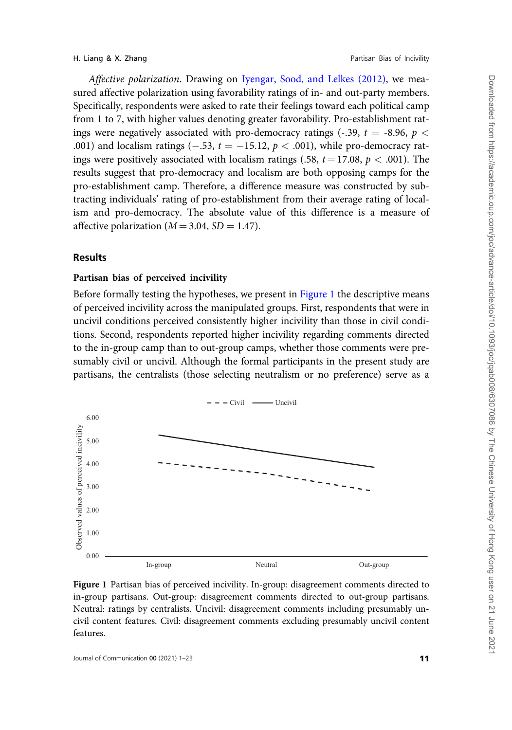<span id="page-10-0"></span>Affective polarization. Drawing on [Iyengar, Sood, and Lelkes \(2012\)](#page-20-0), we measured affective polarization using favorability ratings of in- and out-party members. Specifically, respondents were asked to rate their feelings toward each political camp from 1 to 7, with higher values denoting greater favorability. Pro-establishment ratings were negatively associated with pro-democracy ratings (-.39,  $t = -8.96$ ,  $p <$ .001) and localism ratings (-.53,  $t = -15.12$ ,  $p < .001$ ), while pro-democracy ratings were positively associated with localism ratings (.58,  $t = 17.08$ ,  $p < .001$ ). The results suggest that pro-democracy and localism are both opposing camps for the pro-establishment camp. Therefore, a difference measure was constructed by subtracting individuals' rating of pro-establishment from their average rating of localism and pro-democracy. The absolute value of this difference is a measure of affective polarization ( $M = 3.04$ ,  $SD = 1.47$ ).

# Results

# Partisan bias of perceived incivility

Before formally testing the hypotheses, we present in Figure 1 the descriptive means of perceived incivility across the manipulated groups. First, respondents that were in uncivil conditions perceived consistently higher incivility than those in civil conditions. Second, respondents reported higher incivility regarding comments directed to the in-group camp than to out-group camps, whether those comments were presumably civil or uncivil. Although the formal participants in the present study are partisans, the centralists (those selecting neutralism or no preference) serve as a



Figure 1 Partisan bias of perceived incivility. In-group: disagreement comments directed to in-group partisans. Out-group: disagreement comments directed to out-group partisans. Neutral: ratings by centralists. Uncivil: disagreement comments including presumably uncivil content features. Civil: disagreement comments excluding presumably uncivil content features.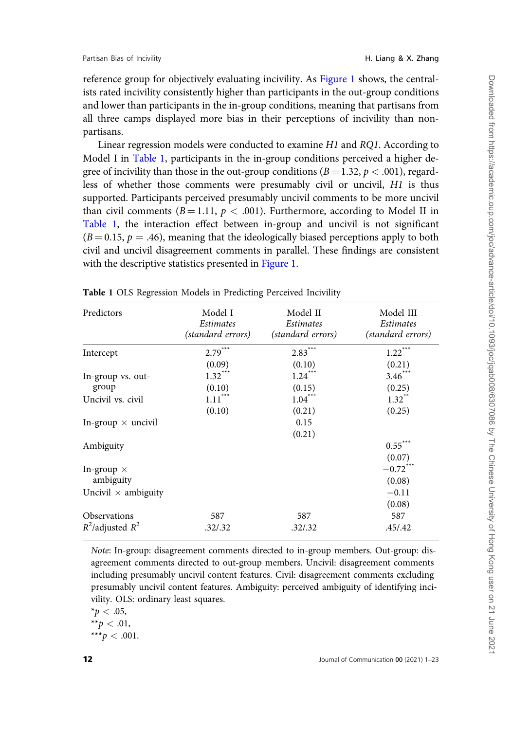<span id="page-11-0"></span>reference group for objectively evaluating incivility. As [Figure 1](#page-10-0) shows, the centralists rated incivility consistently higher than participants in the out-group conditions and lower than participants in the in-group conditions, meaning that partisans from all three camps displayed more bias in their perceptions of incivility than nonpartisans.

Linear regression models were conducted to examine H1 and RQ1. According to Model I in Table 1, participants in the in-group conditions perceived a higher degree of incivility than those in the out-group conditions ( $B = 1.32$ ,  $p < .001$ ), regardless of whether those comments were presumably civil or uncivil, H1 is thus supported. Participants perceived presumably uncivil comments to be more uncivil than civil comments ( $B = 1.11$ ,  $p < .001$ ). Furthermore, according to Model II in Table 1, the interaction effect between in-group and uncivil is not significant  $(B = 0.15, p = .46)$ , meaning that the ideologically biased perceptions apply to both civil and uncivil disagreement comments in parallel. These findings are consistent with the descriptive statistics presented in [Figure 1.](#page-10-0)

| Predictors                 | Model I<br>Estimates<br>(standard errors) | Model II<br>Estimates<br>(standard errors) | Model III<br><i>Estimates</i><br>(standard errors) |
|----------------------------|-------------------------------------------|--------------------------------------------|----------------------------------------------------|
| Intercept                  | $2.79***$                                 | $2.83***$                                  | $1.22***$                                          |
|                            | (0.09)                                    | (0.10)                                     | (0.21)                                             |
| In-group vs. out-          | $1.32***$                                 | $1.24***$                                  | $3.46***$                                          |
| group                      | (0.10)                                    | (0.15)                                     | (0.25)                                             |
| Uncivil vs. civil          | $1.11^{\ast\ast\ast}$                     | $1.04***$                                  | $1.32$ <sup>**</sup>                               |
|                            | (0.10)                                    | (0.21)                                     | (0.25)                                             |
| In-group $\times$ uncivil  |                                           | 0.15                                       |                                                    |
|                            |                                           | (0.21)                                     |                                                    |
| Ambiguity                  |                                           |                                            | $0.55***$                                          |
|                            |                                           |                                            | (0.07)                                             |
| In-group $\times$          |                                           |                                            | $-0.72$ <sup>***</sup>                             |
| ambiguity                  |                                           |                                            | (0.08)                                             |
| Uncivil $\times$ ambiguity |                                           |                                            | $-0.11$                                            |
|                            |                                           |                                            | (0.08)                                             |
| <b>Observations</b>        | 587                                       | 587                                        | 587                                                |
| $R^2$ /adjusted $R^2$      | .32/.32                                   | .32/.32                                    | .45/.42                                            |

Table 1 OLS Regression Models in Predicting Perceived Incivility

Note: In-group: disagreement comments directed to in-group members. Out-group: disagreement comments directed to out-group members. Uncivil: disagreement comments including presumably uncivil content features. Civil: disagreement comments excluding presumably uncivil content features. Ambiguity: perceived ambiguity of identifying incivility. OLS: ordinary least squares.

 $*_{p} < .05$ , \*\* $p < .01$ , \*\*\* $p < .001$ .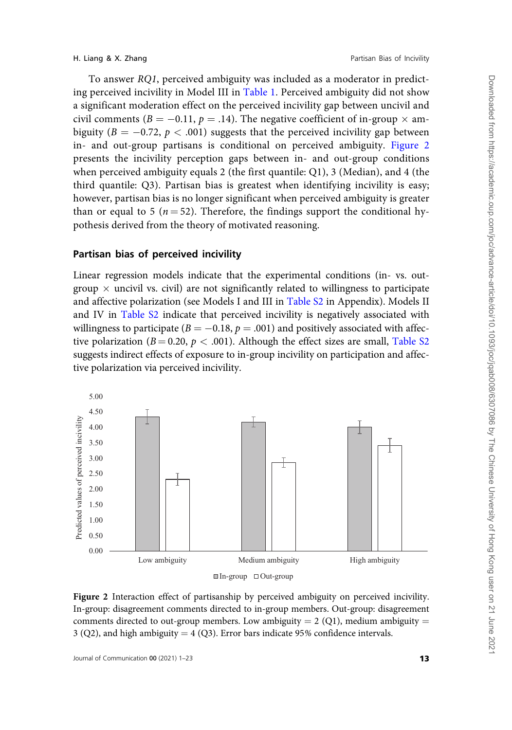To answer RQ1, perceived ambiguity was included as a moderator in predicting perceived incivility in Model III in [Table 1.](#page-11-0) Perceived ambiguity did not show a significant moderation effect on the perceived incivility gap between uncivil and civil comments ( $B = -0.11$ ,  $p = .14$ ). The negative coefficient of in-group  $\times$  ambiguity ( $B = -0.72$ ,  $p < .001$ ) suggests that the perceived incivility gap between in- and out-group partisans is conditional on perceived ambiguity. Figure 2 presents the incivility perception gaps between in- and out-group conditions when perceived ambiguity equals 2 (the first quantile: Q1), 3 (Median), and 4 (the third quantile: Q3). Partisan bias is greatest when identifying incivility is easy; however, partisan bias is no longer significant when perceived ambiguity is greater than or equal to 5 ( $n = 52$ ). Therefore, the findings support the conditional hypothesis derived from the theory of motivated reasoning.

# Partisan bias of perceived incivility

Linear regression models indicate that the experimental conditions (in- vs. outgroup  $\times$  uncivil vs. civil) are not significantly related to willingness to participate and affective polarization (see Models I and III in [Table S2](
article-lookup/doi/10.1093/joc/jqab008#supplementary-data) in Appendix). Models II and IV in [Table S2](
article-lookup/doi/10.1093/joc/jqab008#supplementary-data) indicate that perceived incivility is negatively associated with willingness to participate ( $B = -0.18$ ,  $p = .001$ ) and positively associated with affective polarization ( $B = 0.20$ ,  $p < .001$ ). Although the effect sizes are small, [Table S2](
article-lookup/doi/10.1093/joc/jqab008#supplementary-data) suggests indirect effects of exposure to in-group incivility on participation and affective polarization via perceived incivility.



Figure 2 Interaction effect of partisanship by perceived ambiguity on perceived incivility. In-group: disagreement comments directed to in-group members. Out-group: disagreement comments directed to out-group members. Low ambiguity  $= 2 \text{ (Q1)}$ , medium ambiguity  $=$ 3 (Q2), and high ambiguity =  $4$  (Q3). Error bars indicate 95% confidence intervals.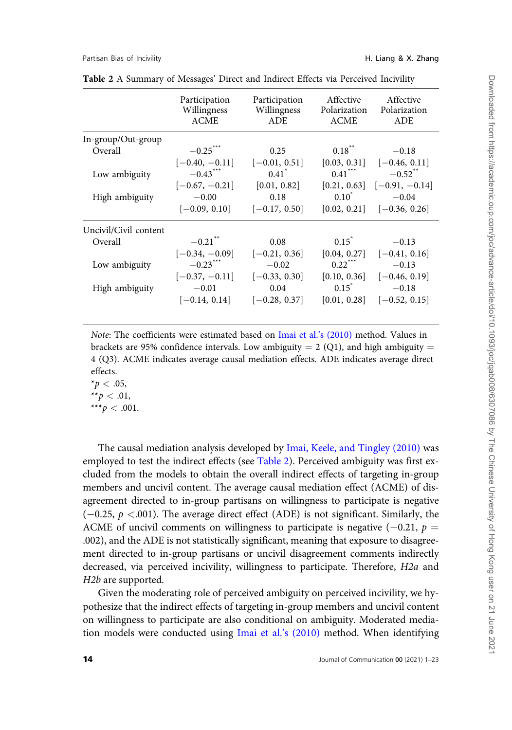#### <span id="page-13-0"></span>Partisan Bias of Incivility **H. Liang & X. Zhang**

|                       | Participation<br>Willingness<br><b>ACME</b> | Participation<br>Willingness<br><b>ADE</b> | Affective<br>Polarization<br><b>ACME</b> | Affective<br>Polarization<br><b>ADE</b> |
|-----------------------|---------------------------------------------|--------------------------------------------|------------------------------------------|-----------------------------------------|
| In-group/Out-group    |                                             |                                            |                                          |                                         |
| Overall               | $-0.25$ <sup>***</sup>                      | 0.25                                       | $0.18$ <sup>**</sup>                     | $-0.18$                                 |
|                       | $[-0.40, -0.11]$                            | $[-0.01, 0.51]$                            | [0.03, 0.31]                             | $[-0.46, 0.11]$                         |
| Low ambiguity         | $-0.43$ <sup>***</sup>                      | $0.41$ <sup>*</sup>                        | $0.41***$                                | $-0.52$ <sup>**</sup>                   |
|                       | $[-0.67, -0.21]$                            | [0.01, 0.82]                               |                                          | $[0.21, 0.63]$ $[-0.91, -0.14]$         |
| High ambiguity        | $-0.00$                                     | 0.18                                       | $0.10^{\degree}$                         | $-0.04$                                 |
|                       | $[-0.09, 0.10]$                             | $[-0.17, 0.50]$                            | [0.02, 0.21]                             | $[-0.36, 0.26]$                         |
| Uncivil/Civil content |                                             |                                            |                                          |                                         |
| Overall               | $-0.21$ <sup>**</sup>                       | 0.08                                       | $0.15^*$                                 | $-0.13$                                 |
|                       | $[-0.34, -0.09]$                            | $[-0.21, 0.36]$                            | [0.04, 0.27]                             | $[-0.41, 0.16]$                         |
| Low ambiguity         | $-0.23$ <sup>***</sup>                      | $-0.02$                                    | $0.22$ <sup>***</sup>                    | $-0.13$                                 |
|                       | $[-0.37, -0.11]$                            | $[-0.33, 0.30]$                            | [0.10, 0.36]                             | $[-0.46, 0.19]$                         |
| High ambiguity        | $-0.01$                                     | 0.04                                       | $0.15^{\degree}$                         | $-0.18$                                 |
|                       | $[-0.14, 0.14]$                             | $[-0.28, 0.37]$                            | [0.01, 0.28]                             | $[-0.52, 0.15]$                         |
|                       |                                             |                                            |                                          |                                         |

Table 2 A Summary of Messages' Direct and Indirect Effects via Perceived Incivility

Note: The coefficients were estimated based on [Imai et al.'s \(2010\)](#page-20-0) method. Values in brackets are 95% confidence intervals. Low ambiguity = 2 (Q1), and high ambiguity = 4 (Q3). ACME indicates average causal mediation effects. ADE indicates average direct effects.

 $*_{p} < .05$ , \*\* $p < .01$ , \*\*\* $p < .001$ .

The causal mediation analysis developed by [Imai, Keele, and Tingley \(2010\)](#page-20-0) was employed to test the indirect effects (see Table 2). Perceived ambiguity was first excluded from the models to obtain the overall indirect effects of targeting in-group members and uncivil content. The average causal mediation effect (ACME) of disagreement directed to in-group partisans on willingness to participate is negative  $(-0.25, p < .001)$ . The average direct effect (ADE) is not significant. Similarly, the ACME of uncivil comments on willingness to participate is negative  $(-0.21, p =$ .002), and the ADE is not statistically significant, meaning that exposure to disagreement directed to in-group partisans or uncivil disagreement comments indirectly decreased, via perceived incivility, willingness to participate. Therefore, H2a and H2b are supported.

Given the moderating role of perceived ambiguity on perceived incivility, we hypothesize that the indirect effects of targeting in-group members and uncivil content on willingness to participate are also conditional on ambiguity. Moderated mediation models were conducted using [Imai et al.'s \(2010\)](#page-20-0) method. When identifying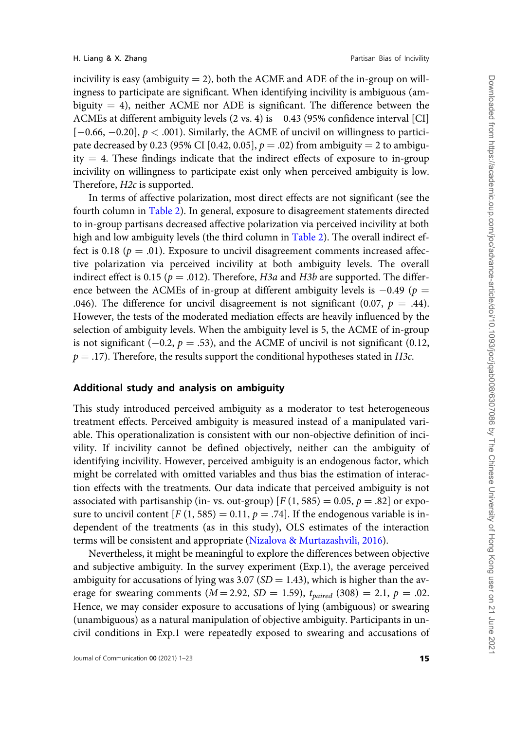incivility is easy (ambiguity  $= 2$ ), both the ACME and ADE of the in-group on willingness to participate are significant. When identifying incivility is ambiguous (ambiguity  $= 4$ ), neither ACME nor ADE is significant. The difference between the ACMEs at different ambiguity levels  $(2 \text{ vs. } 4)$  is  $-0.43$   $(95\%$  confidence interval [CI]  $[-0.66, -0.20]$ ,  $p < .001$ ). Similarly, the ACME of uncivil on willingness to participate decreased by 0.23 (95% CI [0.42, 0.05],  $p = .02$ ) from ambiguity = 2 to ambiguity  $=$  4. These findings indicate that the indirect effects of exposure to in-group incivility on willingness to participate exist only when perceived ambiguity is low. Therefore, *H2c* is supported.

In terms of affective polarization, most direct effects are not significant (see the fourth column in [Table 2\)](#page-13-0). In general, exposure to disagreement statements directed to in-group partisans decreased affective polarization via perceived incivility at both high and low ambiguity levels (the third column in [Table 2\)](#page-13-0). The overall indirect effect is 0.18 ( $p = .01$ ). Exposure to uncivil disagreement comments increased affective polarization via perceived incivility at both ambiguity levels. The overall indirect effect is 0.15 ( $p = .012$ ). Therefore, H3a and H3b are supported. The difference between the ACMEs of in-group at different ambiguity levels is  $-0.49$  (p = .046). The difference for uncivil disagreement is not significant (0.07,  $p = .44$ ). However, the tests of the moderated mediation effects are heavily influenced by the selection of ambiguity levels. When the ambiguity level is 5, the ACME of in-group is not significant (-0.2,  $p = .53$ ), and the ACME of uncivil is not significant (0.12,  $p = .17$ ). Therefore, the results support the conditional hypotheses stated in H3c.

# Additional study and analysis on ambiguity

This study introduced perceived ambiguity as a moderator to test heterogeneous treatment effects. Perceived ambiguity is measured instead of a manipulated variable. This operationalization is consistent with our non-objective definition of incivility. If incivility cannot be defined objectively, neither can the ambiguity of identifying incivility. However, perceived ambiguity is an endogenous factor, which might be correlated with omitted variables and thus bias the estimation of interaction effects with the treatments. Our data indicate that perceived ambiguity is not associated with partisanship (in- vs. out-group)  $[F(1, 585) = 0.05, p = .82]$  or exposure to uncivil content  $[F (1, 585) = 0.11, p = .74]$ . If the endogenous variable is independent of the treatments (as in this study), OLS estimates of the interaction terms will be consistent and appropriate ([Nizalova & Murtazashvili, 2016](#page-21-0)).

Nevertheless, it might be meaningful to explore the differences between objective and subjective ambiguity. In the survey experiment (Exp.1), the average perceived ambiguity for accusations of lying was 3.07 ( $SD = 1.43$ ), which is higher than the average for swearing comments ( $M = 2.92$ ,  $SD = 1.59$ ),  $t_{paired}$  (308) = 2.1,  $p = .02$ . Hence, we may consider exposure to accusations of lying (ambiguous) or swearing (unambiguous) as a natural manipulation of objective ambiguity. Participants in uncivil conditions in Exp.1 were repeatedly exposed to swearing and accusations of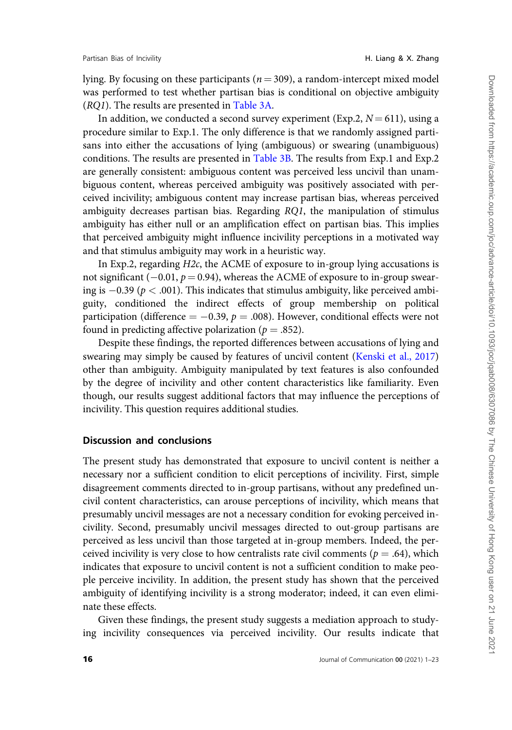lying. By focusing on these participants ( $n = 309$ ), a random-intercept mixed model was performed to test whether partisan bias is conditional on objective ambiguity (RQ1). The results are presented in [Table 3A.](#page-16-0)

In addition, we conducted a second survey experiment (Exp.2,  $N = 611$ ), using a procedure similar to Exp.1. The only difference is that we randomly assigned partisans into either the accusations of lying (ambiguous) or swearing (unambiguous) conditions. The results are presented in [Table 3B.](#page-16-0) The results from Exp.1 and Exp.2 are generally consistent: ambiguous content was perceived less uncivil than unambiguous content, whereas perceived ambiguity was positively associated with perceived incivility; ambiguous content may increase partisan bias, whereas perceived ambiguity decreases partisan bias. Regarding RQ1, the manipulation of stimulus ambiguity has either null or an amplification effect on partisan bias. This implies that perceived ambiguity might influence incivility perceptions in a motivated way and that stimulus ambiguity may work in a heuristic way.

In Exp.2, regarding H2c, the ACME of exposure to in-group lying accusations is not significant ( $-0.01$ ,  $p = 0.94$ ), whereas the ACME of exposure to in-group swearing is  $-0.39$  ( $p < .001$ ). This indicates that stimulus ambiguity, like perceived ambiguity, conditioned the indirect effects of group membership on political participation (difference  $= -0.39, p = .008$ ). However, conditional effects were not found in predicting affective polarization ( $p = .852$ ).

Despite these findings, the reported differences between accusations of lying and swearing may simply be caused by features of uncivil content ([Kenski et al., 2017](#page-20-0)) other than ambiguity. Ambiguity manipulated by text features is also confounded by the degree of incivility and other content characteristics like familiarity. Even though, our results suggest additional factors that may influence the perceptions of incivility. This question requires additional studies.

# Discussion and conclusions

The present study has demonstrated that exposure to uncivil content is neither a necessary nor a sufficient condition to elicit perceptions of incivility. First, simple disagreement comments directed to in-group partisans, without any predefined uncivil content characteristics, can arouse perceptions of incivility, which means that presumably uncivil messages are not a necessary condition for evoking perceived incivility. Second, presumably uncivil messages directed to out-group partisans are perceived as less uncivil than those targeted at in-group members. Indeed, the perceived incivility is very close to how centralists rate civil comments ( $p = .64$ ), which indicates that exposure to uncivil content is not a sufficient condition to make people perceive incivility. In addition, the present study has shown that the perceived ambiguity of identifying incivility is a strong moderator; indeed, it can even eliminate these effects.

Given these findings, the present study suggests a mediation approach to studying incivility consequences via perceived incivility. Our results indicate that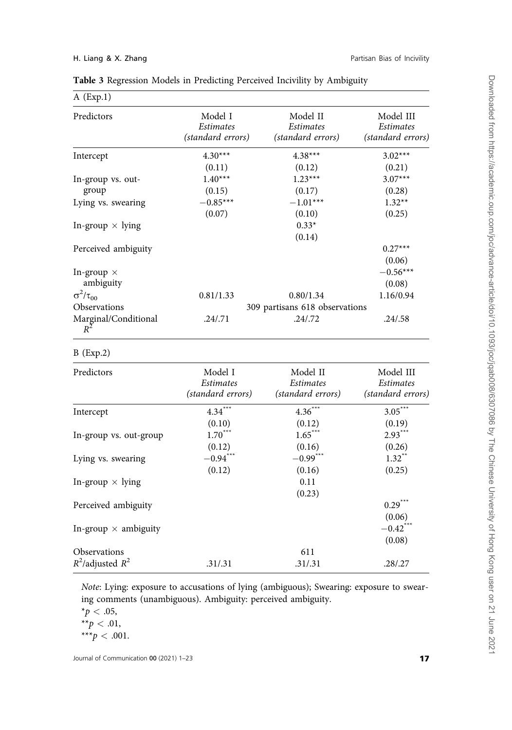| $A$ (Exp.1)                                        |                                           |                                            |                                             |  |
|----------------------------------------------------|-------------------------------------------|--------------------------------------------|---------------------------------------------|--|
| Predictors                                         | Model I<br>Estimates<br>(standard errors) | Model II<br>Estimates<br>(standard errors) | Model III<br>Estimates<br>(standard errors) |  |
| Intercept                                          | $4.30***$                                 | $4.38***$                                  | $3.02***$                                   |  |
|                                                    | (0.11)                                    | (0.12)                                     | (0.21)                                      |  |
| In-group vs. out-                                  | $1.40***$                                 | $1.23***$                                  | $3.07***$                                   |  |
| group                                              | (0.15)                                    | (0.17)                                     | (0.28)                                      |  |
| Lying vs. swearing                                 | $-0.85***$                                | $-1.01***$                                 | $1.32**$                                    |  |
|                                                    | (0.07)                                    | (0.10)                                     | (0.25)                                      |  |
| In-group $\times$ lying                            |                                           | $0.33*$                                    |                                             |  |
|                                                    |                                           | (0.14)                                     |                                             |  |
| Perceived ambiguity                                |                                           |                                            | $0.27***$                                   |  |
|                                                    |                                           |                                            | (0.06)                                      |  |
| In-group $\times$                                  |                                           |                                            | $-0.56***$                                  |  |
| ambiguity                                          |                                           |                                            | (0.08)                                      |  |
| $\sigma^2/\tau_{00}$                               | 0.81/1.33                                 | 0.80/1.34                                  | 1.16/0.94                                   |  |
| Observations                                       | 309 partisans 618 observations            |                                            |                                             |  |
| Marginal/Conditional<br>$R^2$                      | .24/.71                                   | .24/ .72                                   | .24/0.58                                    |  |
| $B$ (Exp.2)                                        |                                           |                                            |                                             |  |
| Predictors                                         | Model I                                   | Model II                                   | Model III                                   |  |
|                                                    | Estimates                                 | Estimates                                  | <b>Estimates</b>                            |  |
|                                                    | (standard errors)                         | (standard errors)                          | (standard errors)                           |  |
| Intercept                                          | $4.34***$                                 | $4.36***$                                  | $3.05***$                                   |  |
|                                                    | (0.10)                                    | (0.12)                                     | (0.19)                                      |  |
| In-group vs. out-group                             | $1.70***$                                 | $1.65***$                                  | $2.93***$                                   |  |
|                                                    | (0.12)                                    | (0.16)                                     | (0.26)                                      |  |
| Lying vs. swearing                                 | $-0.94***$                                | $-0.99$ <sup>***</sup>                     | $1.32$ <sup>**</sup>                        |  |
|                                                    | (0.12)                                    | (0.16)                                     | (0.25)                                      |  |
| In-group $\times$ lying                            |                                           | 0.11                                       |                                             |  |
|                                                    |                                           |                                            |                                             |  |
|                                                    |                                           |                                            |                                             |  |
|                                                    |                                           |                                            |                                             |  |
|                                                    |                                           |                                            |                                             |  |
| Perceived ambiguity<br>In-group $\times$ ambiguity |                                           | (0.23)                                     | $0.29***$<br>(0.06)<br>$-0.42$ ***          |  |

<span id="page-16-0"></span>

Note: Lying: exposure to accusations of lying (ambiguous); Swearing: exposure to swearing comments (unambiguous). Ambiguity: perceived ambiguity.

 $R^2$ /adjusted  $R^2$  .31/.31 .31/.31 .28/.27

Observations 611<br>  $R^2$ /adjusted  $R^2$  .31/.31 .31/.31 .31/.31

 $*p < .05$ ,

(0.08)

<sup>\*\*</sup> $p < .01$ ,

<sup>\*\*\*</sup> $p < .001$ .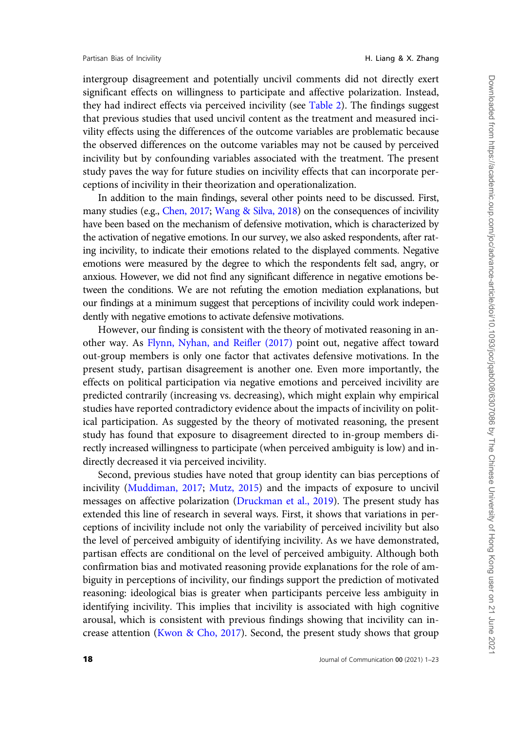intergroup disagreement and potentially uncivil comments did not directly exert significant effects on willingness to participate and affective polarization. Instead, they had indirect effects via perceived incivility (see [Table 2](#page-13-0)). The findings suggest that previous studies that used uncivil content as the treatment and measured incivility effects using the differences of the outcome variables are problematic because the observed differences on the outcome variables may not be caused by perceived incivility but by confounding variables associated with the treatment. The present study paves the way for future studies on incivility effects that can incorporate perceptions of incivility in their theorization and operationalization.

In addition to the main findings, several other points need to be discussed. First, many studies (e.g., [Chen, 2017;](#page-19-0) [Wang](#page-22-0) & [Silva, 2018](#page-22-0)) on the consequences of incivility have been based on the mechanism of defensive motivation, which is characterized by the activation of negative emotions. In our survey, we also asked respondents, after rating incivility, to indicate their emotions related to the displayed comments. Negative emotions were measured by the degree to which the respondents felt sad, angry, or anxious. However, we did not find any significant difference in negative emotions between the conditions. We are not refuting the emotion mediation explanations, but our findings at a minimum suggest that perceptions of incivility could work independently with negative emotions to activate defensive motivations.

However, our finding is consistent with the theory of motivated reasoning in another way. As [Flynn, Nyhan, and Reifler \(2017\)](#page-20-0) point out, negative affect toward out-group members is only one factor that activates defensive motivations. In the present study, partisan disagreement is another one. Even more importantly, the effects on political participation via negative emotions and perceived incivility are predicted contrarily (increasing vs. decreasing), which might explain why empirical studies have reported contradictory evidence about the impacts of incivility on political participation. As suggested by the theory of motivated reasoning, the present study has found that exposure to disagreement directed to in-group members directly increased willingness to participate (when perceived ambiguity is low) and indirectly decreased it via perceived incivility.

Second, previous studies have noted that group identity can bias perceptions of incivility ([Muddiman, 2017;](#page-21-0) [Mutz, 2015](#page-21-0)) and the impacts of exposure to uncivil messages on affective polarization [\(Druckman et al., 2019\)](#page-20-0). The present study has extended this line of research in several ways. First, it shows that variations in perceptions of incivility include not only the variability of perceived incivility but also the level of perceived ambiguity of identifying incivility. As we have demonstrated, partisan effects are conditional on the level of perceived ambiguity. Although both confirmation bias and motivated reasoning provide explanations for the role of ambiguity in perceptions of incivility, our findings support the prediction of motivated reasoning: ideological bias is greater when participants perceive less ambiguity in identifying incivility. This implies that incivility is associated with high cognitive arousal, which is consistent with previous findings showing that incivility can increase attention [\(Kwon & Cho, 2017\)](#page-20-0). Second, the present study shows that group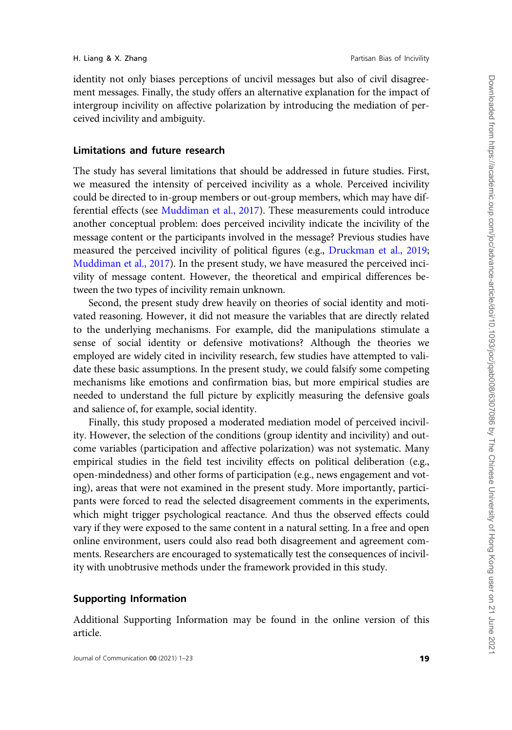identity not only biases perceptions of uncivil messages but also of civil disagreement messages. Finally, the study offers an alternative explanation for the impact of intergroup incivility on affective polarization by introducing the mediation of perceived incivility and ambiguity.

# Limitations and future research

The study has several limitations that should be addressed in future studies. First, we measured the intensity of perceived incivility as a whole. Perceived incivility could be directed to in-group members or out-group members, which may have differential effects (see [Muddiman et al., 2017\)](#page-21-0). These measurements could introduce another conceptual problem: does perceived incivility indicate the incivility of the message content or the participants involved in the message? Previous studies have measured the perceived incivility of political figures (e.g., [Druckman et al., 2019](#page-20-0); [Muddiman et al., 2017](#page-21-0)). In the present study, we have measured the perceived incivility of message content. However, the theoretical and empirical differences between the two types of incivility remain unknown.

Second, the present study drew heavily on theories of social identity and motivated reasoning. However, it did not measure the variables that are directly related to the underlying mechanisms. For example, did the manipulations stimulate a sense of social identity or defensive motivations? Although the theories we employed are widely cited in incivility research, few studies have attempted to validate these basic assumptions. In the present study, we could falsify some competing mechanisms like emotions and confirmation bias, but more empirical studies are needed to understand the full picture by explicitly measuring the defensive goals and salience of, for example, social identity.

Finally, this study proposed a moderated mediation model of perceived incivility. However, the selection of the conditions (group identity and incivility) and outcome variables (participation and affective polarization) was not systematic. Many empirical studies in the field test incivility effects on political deliberation (e.g., open-mindedness) and other forms of participation (e.g., news engagement and voting), areas that were not examined in the present study. More importantly, participants were forced to read the selected disagreement comments in the experiments, which might trigger psychological reactance. And thus the observed effects could vary if they were exposed to the same content in a natural setting. In a free and open online environment, users could also read both disagreement and agreement comments. Researchers are encouraged to systematically test the consequences of incivility with unobtrusive methods under the framework provided in this study.

# Supporting Information

Additional Supporting Information may be found in the online version of this article.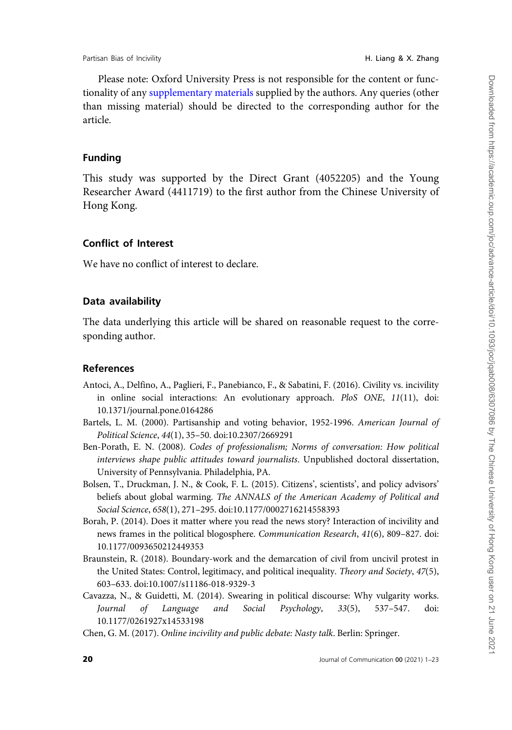<span id="page-19-0"></span>Please note: Oxford University Press is not responsible for the content or functionality of any [supplementary materials](
article-lookup/doi/10.1093/joc/jqab008#supplementary-data) supplied by the authors. Any queries (other than missing material) should be directed to the corresponding author for the article.

# Funding

This study was supported by the Direct Grant (4052205) and the Young Researcher Award (4411719) to the first author from the Chinese University of Hong Kong.

# Conflict of Interest

We have no conflict of interest to declare.

## Data availability

The data underlying this article will be shared on reasonable request to the corresponding author.

#### References

- Antoci, A., Delfino, A., Paglieri, F., Panebianco, F., & Sabatini, F. (2016). Civility vs. incivility in online social interactions: An evolutionary approach. PloS ONE, 11(11), doi: 10.1371/journal.pone.0164286
- Bartels, L. M. (2000). Partisanship and voting behavior, 1952-1996. American Journal of Political Science, 44(1), 35–50. doi:10.2307/2669291
- Ben-Porath, E. N. (2008). Codes of professionalism; Norms of conversation: How political interviews shape public attitudes toward journalists. Unpublished doctoral dissertation, University of Pennsylvania. Philadelphia, PA.
- Bolsen, T., Druckman, J. N., & Cook, F. L. (2015). Citizens', scientists', and policy advisors' beliefs about global warming. The ANNALS of the American Academy of Political and Social Science, 658(1), 271–295. doi:10.1177/0002716214558393
- Borah, P. (2014). Does it matter where you read the news story? Interaction of incivility and news frames in the political blogosphere. Communication Research, 41(6), 809–827. doi: 10.1177/0093650212449353
- Braunstein, R. (2018). Boundary-work and the demarcation of civil from uncivil protest in the United States: Control, legitimacy, and political inequality. Theory and Society, 47(5), 603–633. doi:10.1007/s11186-018-9329-3
- Cavazza, N., & Guidetti, M. (2014). Swearing in political discourse: Why vulgarity works. Journal of Language and Social Psychology, 33(5), 537–547. doi: 10.1177/0261927x14533198
- Chen, G. M. (2017). Online incivility and public debate: Nasty talk. Berlin: Springer.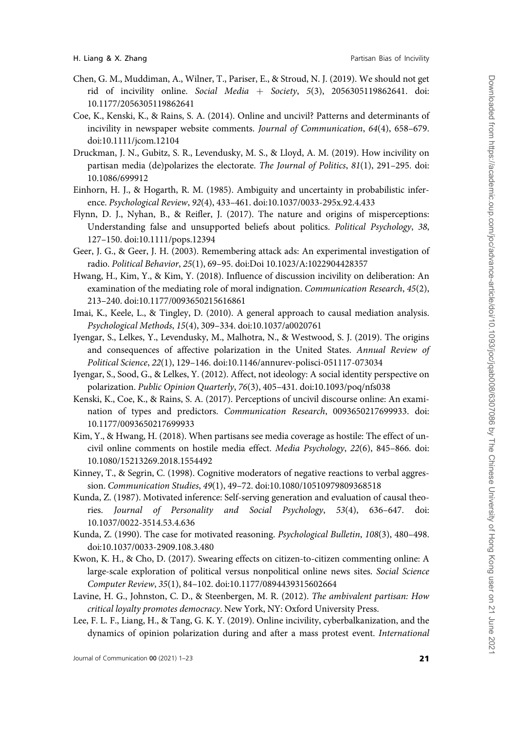- <span id="page-20-0"></span>Chen, G. M., Muddiman, A., Wilner, T., Pariser, E., & Stroud, N. J. (2019). We should not get rid of incivility online. Social Media + Society, 5(3), 2056305119862641. doi: 10.1177/2056305119862641
- Coe, K., Kenski, K., & Rains, S. A. (2014). Online and uncivil? Patterns and determinants of incivility in newspaper website comments. Journal of Communication, 64(4), 658–679. doi:10.1111/jcom.12104
- Druckman, J. N., Gubitz, S. R., Levendusky, M. S., & Lloyd, A. M. (2019). How incivility on partisan media (de)polarizes the electorate. The Journal of Politics, 81(1), 291-295. doi: 10.1086/699912
- Einhorn, H. J., & Hogarth, R. M. (1985). Ambiguity and uncertainty in probabilistic inference. Psychological Review, 92(4), 433–461. doi:10.1037/0033-295x.92.4.433
- Flynn, D. J., Nyhan, B., & Reifler, J. (2017). The nature and origins of misperceptions: Understanding false and unsupported beliefs about politics. Political Psychology, 38, 127–150. doi:10.1111/pops.12394
- Geer, J. G., & Geer, J. H. (2003). Remembering attack ads: An experimental investigation of radio. Political Behavior, 25(1), 69–95. doi:Doi 10.1023/A:1022904428357
- Hwang, H., Kim, Y., & Kim, Y. (2018). Influence of discussion incivility on deliberation: An examination of the mediating role of moral indignation. Communication Research, 45(2), 213–240. doi:10.1177/0093650215616861
- Imai, K., Keele, L., & Tingley, D. (2010). A general approach to causal mediation analysis. Psychological Methods, 15(4), 309–334. doi:10.1037/a0020761
- Iyengar, S., Lelkes, Y., Levendusky, M., Malhotra, N., & Westwood, S. J. (2019). The origins and consequences of affective polarization in the United States. Annual Review of Political Science, 22(1), 129–146. doi:10.1146/annurev-polisci-051117-073034
- Iyengar, S., Sood, G., & Lelkes, Y. (2012). Affect, not ideology: A social identity perspective on polarization. Public Opinion Quarterly, 76(3), 405–431. doi:10.1093/poq/nfs038
- Kenski, K., Coe, K., & Rains, S. A. (2017). Perceptions of uncivil discourse online: An examination of types and predictors. Communication Research, 0093650217699933. doi: 10.1177/0093650217699933
- Kim, Y., & Hwang, H. (2018). When partisans see media coverage as hostile: The effect of uncivil online comments on hostile media effect. Media Psychology, 22(6), 845–866. doi: 10.1080/15213269.2018.1554492
- Kinney, T., & Segrin, C. (1998). Cognitive moderators of negative reactions to verbal aggression. Communication Studies, 49(1), 49–72. doi:10.1080/10510979809368518
- Kunda, Z. (1987). Motivated inference: Self-serving generation and evaluation of causal theories. Journal of Personality and Social Psychology, 53(4), 636–647. doi: 10.1037/0022-3514.53.4.636
- Kunda, Z. (1990). The case for motivated reasoning. Psychological Bulletin, 108(3), 480–498. doi:10.1037/0033-2909.108.3.480
- Kwon, K. H., & Cho, D. (2017). Swearing effects on citizen-to-citizen commenting online: A large-scale exploration of political versus nonpolitical online news sites. Social Science Computer Review, 35(1), 84–102. doi:10.1177/0894439315602664
- Lavine, H. G., Johnston, C. D., & Steenbergen, M. R. (2012). The ambivalent partisan: How critical loyalty promotes democracy. New York, NY: Oxford University Press.
- Lee, F. L. F., Liang, H., & Tang, G. K. Y. (2019). Online incivility, cyberbalkanization, and the dynamics of opinion polarization during and after a mass protest event. International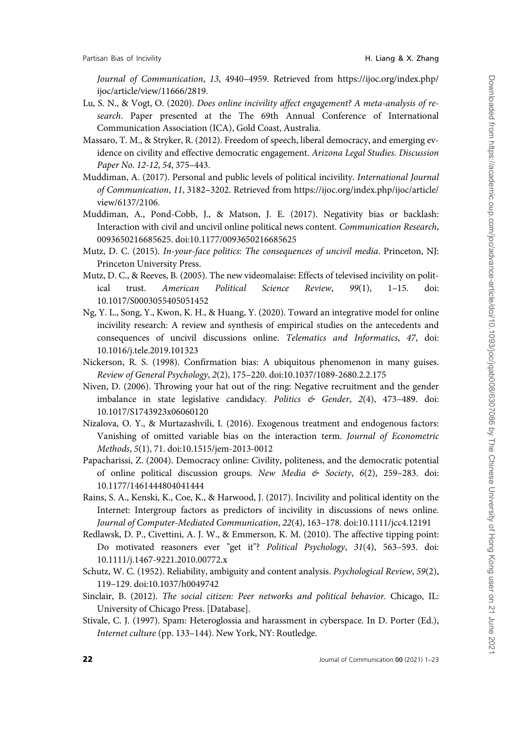<span id="page-21-0"></span>Journal of Communication, 13, 4940–4959. Retrieved from [https://ijoc.org/index.php/](https://ijoc.org/index.php/ijoc/article/view/11666/2819) [ijoc/article/view/11666/2819](https://ijoc.org/index.php/ijoc/article/view/11666/2819).

- Lu, S. N., & Vogt, O. (2020). Does online incivility affect engagement? A meta-analysis of research. Paper presented at the The 69th Annual Conference of International Communication Association (ICA), Gold Coast, Australia.
- Massaro, T. M., & Stryker, R. (2012). Freedom of speech, liberal democracy, and emerging evidence on civility and effective democratic engagement. Arizona Legal Studies. Discussion Paper No. 12-12, 54, 375–443.
- Muddiman, A. (2017). Personal and public levels of political incivility. International Journal of Communication, 11, 3182–3202. Retrieved from [https://ijoc.org/index.php/ijoc/article/](https://ijoc.org/index.php/ijoc/article/view/6137/2106) [view/6137/2106.](https://ijoc.org/index.php/ijoc/article/view/6137/2106)
- Muddiman, A., Pond-Cobb, J., & Matson, J. E. (2017). Negativity bias or backlash: Interaction with civil and uncivil online political news content. Communication Research, 0093650216685625. doi:10.1177/0093650216685625
- Mutz, D. C. (2015). In-your-face politics: The consequences of uncivil media. Princeton, NJ: Princeton University Press.
- Mutz, D. C., & Reeves, B. (2005). The new videomalaise: Effects of televised incivility on political trust. American Political Science Review, 99(1), 1–15. doi: 10.1017/S0003055405051452
- Ng, Y. L., Song, Y., Kwon, K. H., & Huang, Y. (2020). Toward an integrative model for online incivility research: A review and synthesis of empirical studies on the antecedents and consequences of uncivil discussions online. Telematics and Informatics, 47, doi: 10.1016/j.tele.2019.101323
- Nickerson, R. S. (1998). Confirmation bias: A ubiquitous phenomenon in many guises. Review of General Psychology, 2(2), 175–220. doi:10.1037/1089-2680.2.2.175
- Niven, D. (2006). Throwing your hat out of the ring: Negative recruitment and the gender imbalance in state legislative candidacy. Politics & Gender, 2(4), 473-489. doi: 10.1017/S1743923x06060120
- Nizalova, O. Y., & Murtazashvili, I. (2016). Exogenous treatment and endogenous factors: Vanishing of omitted variable bias on the interaction term. Journal of Econometric Methods, 5(1), 71. doi:10.1515/jem-2013-0012
- Papacharissi, Z. (2004). Democracy online: Civility, politeness, and the democratic potential of online political discussion groups. New Media & Society, 6(2), 259–283. doi: 10.1177/1461444804041444
- Rains, S. A., Kenski, K., Coe, K., & Harwood, J. (2017). Incivility and political identity on the Internet: Intergroup factors as predictors of incivility in discussions of news online. Journal of Computer-Mediated Communication, 22(4), 163–178. doi:10.1111/jcc4.12191
- Redlawsk, D. P., Civettini, A. J. W., & Emmerson, K. M. (2010). The affective tipping point: Do motivated reasoners ever "get it"? Political Psychology, 31(4), 563–593. doi: 10.1111/j.1467-9221.2010.00772.x
- Schutz, W. C. (1952). Reliability, ambiguity and content analysis. Psychological Review, 59(2), 119–129. doi:10.1037/h0049742
- Sinclair, B. (2012). The social citizen: Peer networks and political behavior. Chicago, IL: University of Chicago Press. [Database].
- Stivale, C. J. (1997). Spam: Heteroglossia and harassment in cyberspace. In D. Porter (Ed.), Internet culture (pp. 133–144). New York, NY: Routledge.